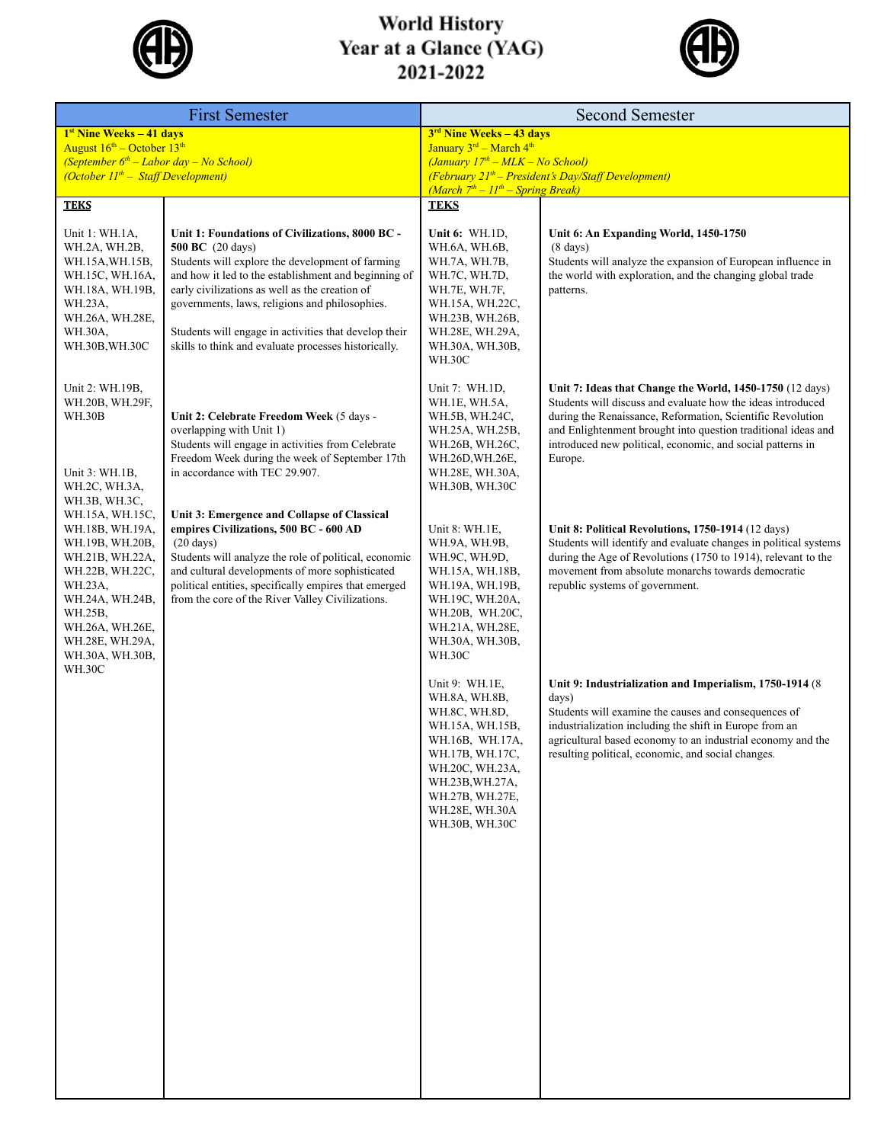

## World History<br>Year at a Glance (YAG)<br>2021-2022



| <b>First Semester</b>                                                                                                                                                                                                                                                                                    |                                                                                                                                                                                                                                                                                                                                                                                                             | <b>Second Semester</b>                                                                                                                                                                                 |                                                                                                                                                                                                                                                                                                                                 |  |
|----------------------------------------------------------------------------------------------------------------------------------------------------------------------------------------------------------------------------------------------------------------------------------------------------------|-------------------------------------------------------------------------------------------------------------------------------------------------------------------------------------------------------------------------------------------------------------------------------------------------------------------------------------------------------------------------------------------------------------|--------------------------------------------------------------------------------------------------------------------------------------------------------------------------------------------------------|---------------------------------------------------------------------------------------------------------------------------------------------------------------------------------------------------------------------------------------------------------------------------------------------------------------------------------|--|
| $1st$ Nine Weeks $-41$ days<br>August $16^{\text{th}}$ – October $13^{\text{th}}$                                                                                                                                                                                                                        |                                                                                                                                                                                                                                                                                                                                                                                                             | 3 <sup>rd</sup> Nine Weeks – 43 days<br>January 3rd - March 4 <sup>th</sup>                                                                                                                            |                                                                                                                                                                                                                                                                                                                                 |  |
| (September $6th$ – Labor day – No School)                                                                                                                                                                                                                                                                |                                                                                                                                                                                                                                                                                                                                                                                                             | $(January 17th - MLK - No School)$                                                                                                                                                                     |                                                                                                                                                                                                                                                                                                                                 |  |
| (October $11^{th}$ – Staff Development)                                                                                                                                                                                                                                                                  |                                                                                                                                                                                                                                                                                                                                                                                                             | $(Februar y 21th - President's Day/Staff Development)$<br>$(March 7th - 11th - Spring Break)$                                                                                                          |                                                                                                                                                                                                                                                                                                                                 |  |
| <b>TEKS</b>                                                                                                                                                                                                                                                                                              |                                                                                                                                                                                                                                                                                                                                                                                                             | <b>TEKS</b>                                                                                                                                                                                            |                                                                                                                                                                                                                                                                                                                                 |  |
| Unit 1: WH.1A,<br>WH.2A, WH.2B,<br>WH.15A, WH.15B,<br>WH.15C, WH.16A,<br>WH.18A, WH.19B,<br>WH.23A,<br>WH.26A, WH.28E,<br>WH.30A,<br>WH.30B, WH.30C                                                                                                                                                      | Unit 1: Foundations of Civilizations, 8000 BC -<br><b>500 BC</b> (20 days)<br>Students will explore the development of farming<br>and how it led to the establishment and beginning of<br>early civilizations as well as the creation of<br>governments, laws, religions and philosophies.<br>Students will engage in activities that develop their<br>skills to think and evaluate processes historically. | Unit 6: $WH.ID$ ,<br>WH.6A, WH.6B,<br>WH.7A, WH.7B,<br>WH.7C, WH.7D,<br>WH.7E, WH.7F,<br>WH.15A, WH.22C,<br>WH.23B, WH.26B,<br>WH.28E, WH.29A,<br>WH.30A, WH.30B,<br><b>WH.30C</b>                     | Unit 6: An Expanding World, 1450-1750<br>$(8 \text{ days})$<br>Students will analyze the expansion of European influence in<br>the world with exploration, and the changing global trade<br>patterns.                                                                                                                           |  |
| Unit 2: WH.19B,<br>WH.20B, WH.29F,<br><b>WH.30B</b><br>Unit 3: WH.1B,<br>WH.2C, WH.3A,<br>WH.3B, WH.3C,<br>WH.15A, WH.15C,<br>WH.18B, WH.19A,<br>WH.19B, WH.20B,<br>WH.21B, WH.22A,<br>WH.22B, WH.22C,<br>WH.23A,<br>WH.24A, WH.24B,<br>WH.25B,<br>WH.26A, WH.26E,<br>WH.28E, WH.29A,<br>WH.30A, WH.30B, | Unit 2: Celebrate Freedom Week (5 days -<br>overlapping with Unit 1)<br>Students will engage in activities from Celebrate<br>Freedom Week during the week of September 17th<br>in accordance with TEC 29.907.                                                                                                                                                                                               | Unit 7: WH.1D,<br>WH.1E, WH.5A,<br>WH.5B, WH.24C,<br>WH.25A, WH.25B,<br>WH.26B, WH.26C,<br>WH.26D, WH.26E,<br>WH.28E, WH.30A,<br>WH.30B, WH.30C                                                        | Unit 7: Ideas that Change the World, 1450-1750 (12 days)<br>Students will discuss and evaluate how the ideas introduced<br>during the Renaissance, Reformation, Scientific Revolution<br>and Enlightenment brought into question traditional ideas and<br>introduced new political, economic, and social patterns in<br>Europe. |  |
|                                                                                                                                                                                                                                                                                                          | Unit 3: Emergence and Collapse of Classical<br>empires Civilizations, 500 BC - 600 AD<br>$(20 \text{ days})$<br>Students will analyze the role of political, economic<br>and cultural developments of more sophisticated<br>political entities, specifically empires that emerged<br>from the core of the River Valley Civilizations.                                                                       | Unit 8: WH.1E,<br>WH.9A, WH.9B,<br>WH.9C, WH.9D,<br>WH.15A, WH.18B,<br>WH.19A, WH.19B,<br>WH.19C, WH.20A,<br>WH.20B, WH.20C,<br>WH.21A, WH.28E,<br>WH.30A, WH.30B,<br>WH.30C                           | Unit 8: Political Revolutions, 1750-1914 (12 days)<br>Students will identify and evaluate changes in political systems<br>during the Age of Revolutions (1750 to 1914), relevant to the<br>movement from absolute monarchs towards democratic<br>republic systems of government.                                                |  |
| <b>WH.30C</b>                                                                                                                                                                                                                                                                                            |                                                                                                                                                                                                                                                                                                                                                                                                             | Unit 9: WH.1E,<br>WH.8A, WH.8B,<br>WH.8C, WH.8D,<br>WH.15A, WH.15B,<br>WH.16B, WH.17A,<br>WH.17B, WH.17C,<br>WH.20C, WH.23A,<br>WH.23B, WH.27A,<br>WH.27B, WH.27E,<br>WH.28E, WH.30A<br>WH.30B, WH.30C | Unit 9: Industrialization and Imperialism, 1750-1914 (8)<br>days)<br>Students will examine the causes and consequences of<br>industrialization including the shift in Europe from an<br>agricultural based economy to an industrial economy and the<br>resulting political, economic, and social changes.                       |  |